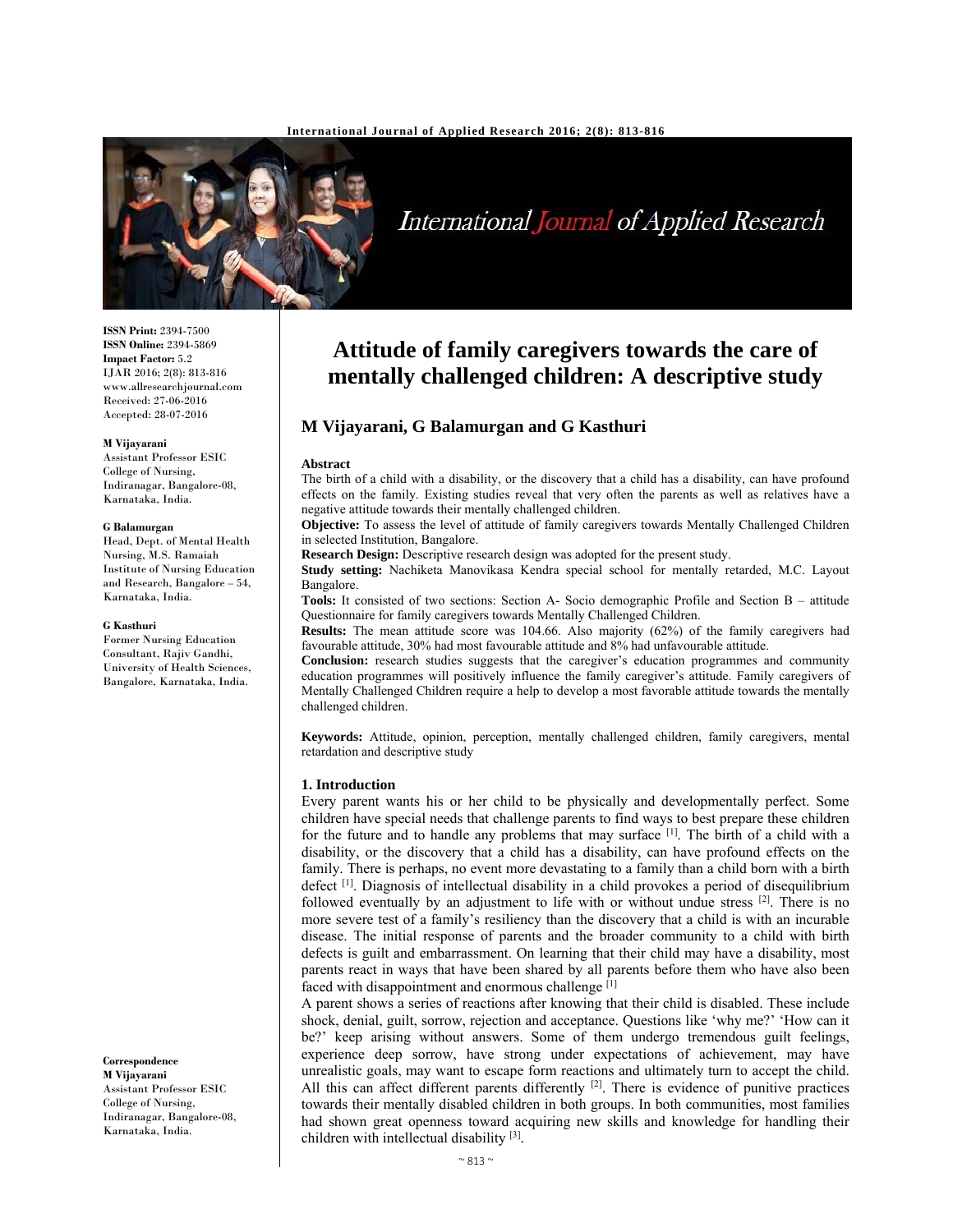

# International Journal of Applied Research

**ISSN Print:** 2394-7500 **ISSN Online:** 2394-5869 **Impact Factor:** 5.2 IJAR 2016; 2(8): 813-816 www.allresearchjournal.com Received: 27-06-2016 Accepted: 28-07-2016

#### **M Vijayarani**

Assistant Professor ESIC College of Nursing, Indiranagar, Bangalore-08, Karnataka, India.

#### **G Balamurgan**

Head, Dept. of Mental Health Nursing, M.S. Ramaiah Institute of Nursing Education and Research, Bangalore – 54, Karnataka, India.

#### **G Kasthuri**

Former Nursing Education Consultant, Rajiv Gandhi, University of Health Sciences, Bangalore, Karnataka, India.

**Correspondence M Vijayarani**  Assistant Professor ESIC College of Nursing, Indiranagar, Bangalore-08, Karnataka, India.

# **Attitude of family caregivers towards the care of mentally challenged children: A descriptive study**

# **M Vijayarani, G Balamurgan and G Kasthuri**

#### **Abstract**

The birth of a child with a disability, or the discovery that a child has a disability, can have profound effects on the family. Existing studies reveal that very often the parents as well as relatives have a negative attitude towards their mentally challenged children.

**Objective:** To assess the level of attitude of family caregivers towards Mentally Challenged Children in selected Institution, Bangalore.

**Research Design:** Descriptive research design was adopted for the present study.

**Study setting:** Nachiketa Manovikasa Kendra special school for mentally retarded, M.C. Layout Bangalore.

**Tools:** It consisted of two sections: Section A- Socio demographic Profile and Section B – attitude Questionnaire for family caregivers towards Mentally Challenged Children.

**Results:** The mean attitude score was 104.66. Also majority (62%) of the family caregivers had favourable attitude, 30% had most favourable attitude and 8% had unfavourable attitude.

**Conclusion:** research studies suggests that the caregiver's education programmes and community education programmes will positively influence the family caregiver's attitude. Family caregivers of Mentally Challenged Children require a help to develop a most favorable attitude towards the mentally challenged children.

**Keywords:** Attitude, opinion, perception, mentally challenged children, family caregivers, mental retardation and descriptive study

#### **1. Introduction**

Every parent wants his or her child to be physically and developmentally perfect. Some children have special needs that challenge parents to find ways to best prepare these children for the future and to handle any problems that may surface  $[1]$ . The birth of a child with a disability, or the discovery that a child has a disability, can have profound effects on the family. There is perhaps, no event more devastating to a family than a child born with a birth defect  $\left[1\right]$ . Diagnosis of intellectual disability in a child provokes a period of disequilibrium followed eventually by an adjustment to life with or without undue stress  $[2]$ . There is no more severe test of a family's resiliency than the discovery that a child is with an incurable disease. The initial response of parents and the broader community to a child with birth defects is guilt and embarrassment. On learning that their child may have a disability, most parents react in ways that have been shared by all parents before them who have also been faced with disappointment and enormous challenge<sup>[1]</sup>

A parent shows a series of reactions after knowing that their child is disabled. These include shock, denial, guilt, sorrow, rejection and acceptance. Questions like 'why me?' 'How can it be?' keep arising without answers. Some of them undergo tremendous guilt feelings, experience deep sorrow, have strong under expectations of achievement, may have unrealistic goals, may want to escape form reactions and ultimately turn to accept the child. All this can affect different parents differently  $[2]$ . There is evidence of punitive practices towards their mentally disabled children in both groups. In both communities, most families had shown great openness toward acquiring new skills and knowledge for handling their children with intellectual disability [3].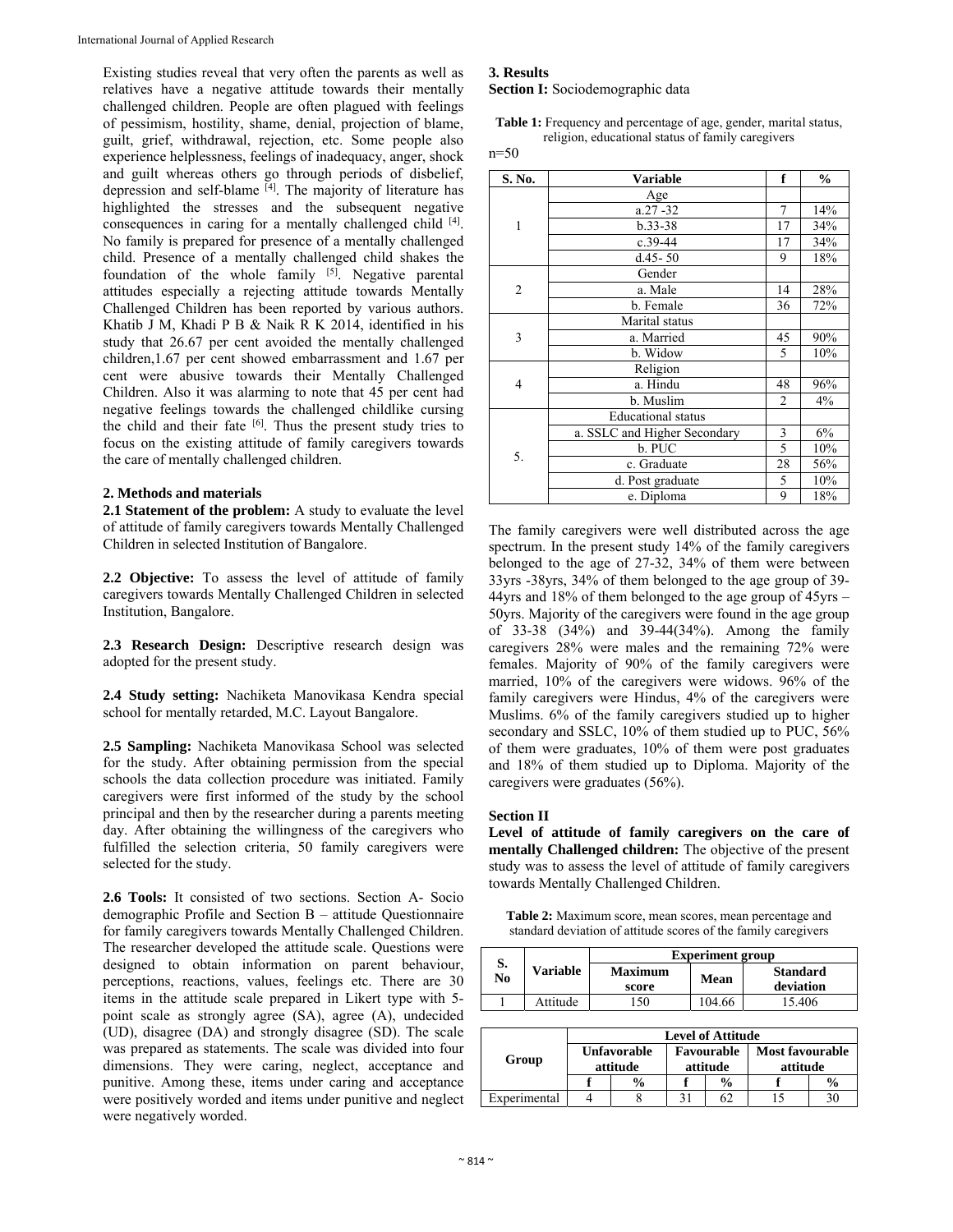Existing studies reveal that very often the parents as well as relatives have a negative attitude towards their mentally challenged children. People are often plagued with feelings of pessimism, hostility, shame, denial, projection of blame, guilt, grief, withdrawal, rejection, etc. Some people also experience helplessness, feelings of inadequacy, anger, shock and guilt whereas others go through periods of disbelief, depression and self-blame <sup>[4]</sup>. The majority of literature has highlighted the stresses and the subsequent negative consequences in caring for a mentally challenged child [4]. No family is prepared for presence of a mentally challenged child. Presence of a mentally challenged child shakes the foundation of the whole family <sup>[5]</sup>. Negative parental attitudes especially a rejecting attitude towards Mentally Challenged Children has been reported by various authors. Khatib J M, Khadi P B & Naik R K 2014, identified in his study that 26.67 per cent avoided the mentally challenged children,1.67 per cent showed embarrassment and 1.67 per cent were abusive towards their Mentally Challenged Children. Also it was alarming to note that 45 per cent had negative feelings towards the challenged childlike cursing the child and their fate [6]. Thus the present study tries to focus on the existing attitude of family caregivers towards the care of mentally challenged children.

#### **2. Methods and materials**

**2.1 Statement of the problem:** A study to evaluate the level of attitude of family caregivers towards Mentally Challenged Children in selected Institution of Bangalore.

**2.2 Objective:** To assess the level of attitude of family caregivers towards Mentally Challenged Children in selected Institution, Bangalore.

**2.3 Research Design:** Descriptive research design was adopted for the present study.

**2.4 Study setting:** Nachiketa Manovikasa Kendra special school for mentally retarded, M.C. Layout Bangalore.

**2.5 Sampling:** Nachiketa Manovikasa School was selected for the study. After obtaining permission from the special schools the data collection procedure was initiated. Family caregivers were first informed of the study by the school principal and then by the researcher during a parents meeting day. After obtaining the willingness of the caregivers who fulfilled the selection criteria, 50 family caregivers were selected for the study.

**2.6 Tools:** It consisted of two sections. Section A- Socio demographic Profile and Section B – attitude Questionnaire for family caregivers towards Mentally Challenged Children. The researcher developed the attitude scale. Questions were designed to obtain information on parent behaviour, perceptions, reactions, values, feelings etc. There are 30 items in the attitude scale prepared in Likert type with 5 point scale as strongly agree (SA), agree (A), undecided (UD), disagree (DA) and strongly disagree (SD). The scale was prepared as statements. The scale was divided into four dimensions. They were caring, neglect, acceptance and punitive. Among these, items under caring and acceptance were positively worded and items under punitive and neglect were negatively worded.

# **3. Results**

**Section I:** Sociodemographic data

**Table 1:** Frequency and percentage of age, gender, marital status, religion, educational status of family caregivers

n=50

| S. No.         | <b>Variable</b>              | f              | $\frac{0}{0}$ |
|----------------|------------------------------|----------------|---------------|
|                | Age                          |                |               |
| 1              | $a.27 - 32$                  | $\overline{7}$ | 14%           |
|                | $b.33 - 38$                  | 17             | 34%           |
|                | $c.39-44$                    | 17             | 34%           |
|                | $d.45 - 50$                  | 9              | 18%           |
| $\overline{c}$ | Gender                       |                |               |
|                | a. Male                      | 14             | 28%           |
|                | b. Female                    | 36             | 72%           |
| 3              | Marital status               |                |               |
|                | a. Married                   | 45             | 90%           |
|                | b. Widow                     | 5              | 10%           |
| 4              | Religion                     |                |               |
|                | a. Hindu                     | 48             | 96%           |
|                | b. Muslim                    | $\overline{2}$ | 4%            |
| 5.             | <b>Educational</b> status    |                |               |
|                | a. SSLC and Higher Secondary | 3              | 6%            |
|                | b. PUC                       | 5              | 10%           |
|                | c. Graduate                  | 28             | 56%           |
|                | d. Post graduate             | 5              | 10%           |
|                | e. Diploma                   | 9              | 18%           |

The family caregivers were well distributed across the age spectrum. In the present study 14% of the family caregivers belonged to the age of 27-32, 34% of them were between 33yrs -38yrs, 34% of them belonged to the age group of 39- 44yrs and 18% of them belonged to the age group of 45yrs – 50yrs. Majority of the caregivers were found in the age group of 33-38 (34%) and 39-44(34%). Among the family caregivers 28% were males and the remaining 72% were females. Majority of 90% of the family caregivers were married, 10% of the caregivers were widows. 96% of the family caregivers were Hindus, 4% of the caregivers were Muslims. 6% of the family caregivers studied up to higher secondary and SSLC, 10% of them studied up to PUC, 56% of them were graduates, 10% of them were post graduates and 18% of them studied up to Diploma. Majority of the caregivers were graduates (56%).

#### **Section II**

**Level of attitude of family caregivers on the care of mentally Challenged children:** The objective of the present study was to assess the level of attitude of family caregivers towards Mentally Challenged Children.

**Table 2:** Maximum score, mean scores, mean percentage and standard deviation of attitude scores of the family caregivers

| S.                       |          |  | <b>Experiment group</b> |                        |        |                                    |  |  |  |
|--------------------------|----------|--|-------------------------|------------------------|--------|------------------------------------|--|--|--|
| N <sub>0</sub>           | Variable |  | Maximum<br>score        |                        | Mean   | <b>Standard</b><br>deviation       |  |  |  |
|                          | Attitude |  | 150                     |                        | 104.66 | 15.406                             |  |  |  |
|                          |          |  |                         |                        |        |                                    |  |  |  |
| <b>Level of Attitude</b> |          |  |                         |                        |        |                                    |  |  |  |
| Group                    |          |  | Unfavorable<br>attitude | Favourable<br>attitude |        | <b>Most favourable</b><br>attitude |  |  |  |

Experimental 4 8 31 62 15 30

**f % f % f %**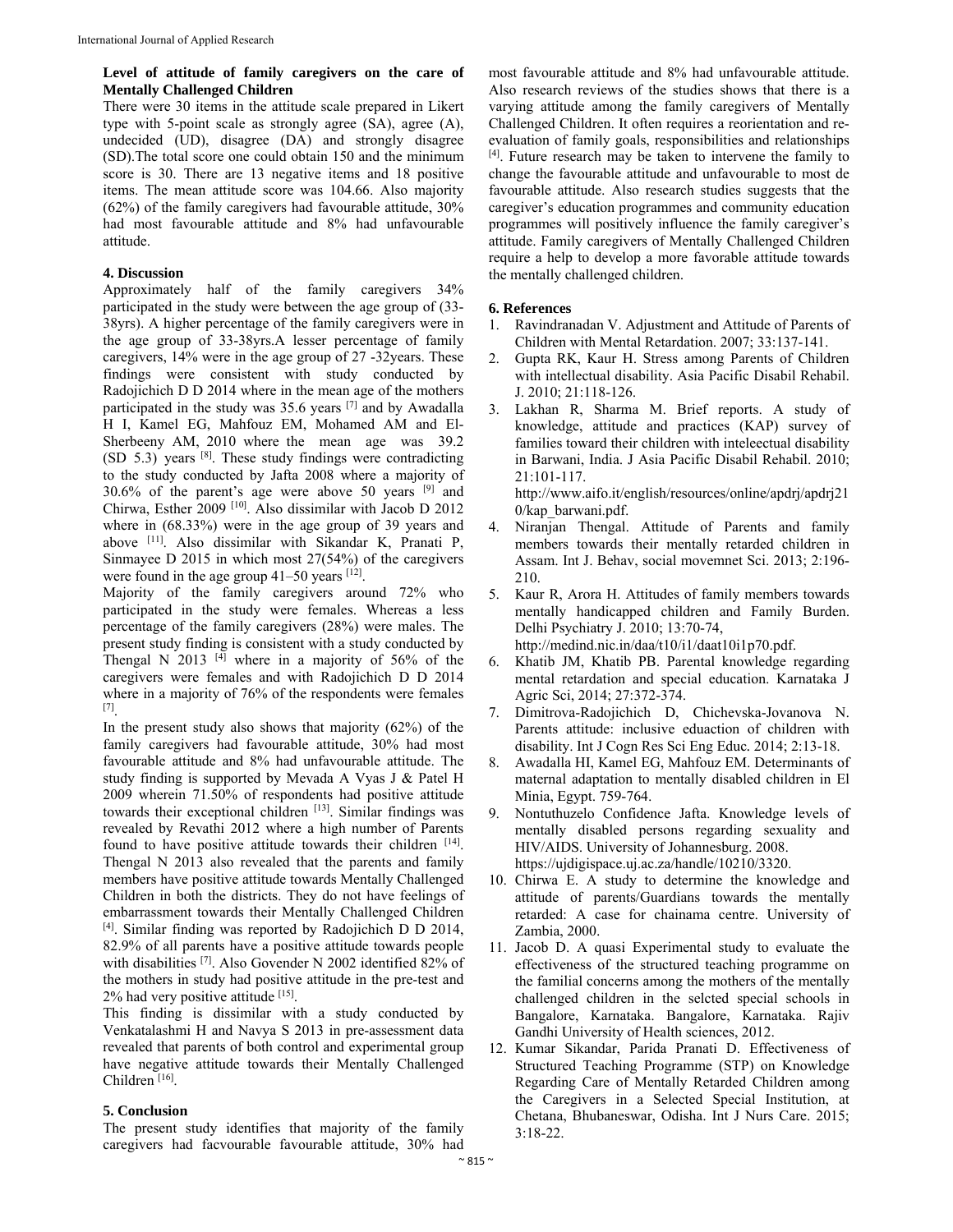#### **Level of attitude of family caregivers on the care of Mentally Challenged Children**

There were 30 items in the attitude scale prepared in Likert type with 5-point scale as strongly agree (SA), agree (A), undecided (UD), disagree (DA) and strongly disagree (SD).The total score one could obtain 150 and the minimum score is 30. There are 13 negative items and 18 positive items. The mean attitude score was 104.66. Also majority (62%) of the family caregivers had favourable attitude, 30% had most favourable attitude and 8% had unfavourable attitude.

### **4. Discussion**

Approximately half of the family caregivers 34% participated in the study were between the age group of (33- 38yrs). A higher percentage of the family caregivers were in the age group of 33-38yrs.A lesser percentage of family caregivers, 14% were in the age group of 27 -32years. These findings were consistent with study conducted by Radojichich D D 2014 where in the mean age of the mothers participated in the study was 35.6 years [7] and by Awadalla H I, Kamel EG, Mahfouz EM, Mohamed AM and El-Sherbeeny AM, 2010 where the mean age was 39.2  $(SD 5.3)$  years <sup>[8]</sup>. These study findings were contradicting to the study conducted by Jafta 2008 where a majority of 30.6% of the parent's age were above 50 years [9] and Chirwa, Esther 2009 [10]. Also dissimilar with Jacob D 2012 where in (68.33%) were in the age group of 39 years and above [11]. Also dissimilar with Sikandar K, Pranati P, Sinmayee D 2015 in which most 27(54%) of the caregivers were found in the age group  $41-50$  years  $^{[12]}$ .

Majority of the family caregivers around 72% who participated in the study were females. Whereas a less percentage of the family caregivers (28%) were males. The present study finding is consistent with a study conducted by Thengal N 2013  $[4]$  where in a majority of 56% of the caregivers were females and with Radojichich D D 2014 where in a majority of 76% of the respondents were females [7].

In the present study also shows that majority (62%) of the family caregivers had favourable attitude, 30% had most favourable attitude and 8% had unfavourable attitude. The study finding is supported by Mevada A Vyas J & Patel H 2009 wherein 71.50% of respondents had positive attitude towards their exceptional children [13]. Similar findings was revealed by Revathi 2012 where a high number of Parents found to have positive attitude towards their children [14]. Thengal N 2013 also revealed that the parents and family members have positive attitude towards Mentally Challenged Children in both the districts. They do not have feelings of embarrassment towards their Mentally Challenged Children [4]. Similar finding was reported by Radojichich D D 2014, 82.9% of all parents have a positive attitude towards people with disabilities [7]. Also Govender N 2002 identified 82% of the mothers in study had positive attitude in the pre-test and 2% had very positive attitude [15].

This finding is dissimilar with a study conducted by Venkatalashmi H and Navya S 2013 in pre-assessment data revealed that parents of both control and experimental group have negative attitude towards their Mentally Challenged Children [16].

# **5. Conclusion**

The present study identifies that majority of the family caregivers had facvourable favourable attitude, 30% had most favourable attitude and 8% had unfavourable attitude. Also research reviews of the studies shows that there is a varying attitude among the family caregivers of Mentally Challenged Children. It often requires a reorientation and reevaluation of family goals, responsibilities and relationships [4]. Future research may be taken to intervene the family to change the favourable attitude and unfavourable to most de favourable attitude. Also research studies suggests that the caregiver's education programmes and community education programmes will positively influence the family caregiver's attitude. Family caregivers of Mentally Challenged Children require a help to develop a more favorable attitude towards the mentally challenged children.

#### **6. References**

- 1. Ravindranadan V. Adjustment and Attitude of Parents of Children with Mental Retardation. 2007; 33:137-141.
- 2. Gupta RK, Kaur H. Stress among Parents of Children with intellectual disability. Asia Pacific Disabil Rehabil. J. 2010; 21:118-126.
- 3. Lakhan R, Sharma M. Brief reports. A study of knowledge, attitude and practices (KAP) survey of families toward their children with inteleectual disability in Barwani, India. J Asia Pacific Disabil Rehabil. 2010; 21:101-117.

http://www.aifo.it/english/resources/online/apdrj/apdrj21 0/kap\_barwani.pdf.

- 4. Niranjan Thengal. Attitude of Parents and family members towards their mentally retarded children in Assam. Int J. Behav, social movemnet Sci. 2013; 2:196- 210.
- 5. Kaur R, Arora H. Attitudes of family members towards mentally handicapped children and Family Burden. Delhi Psychiatry J. 2010; 13:70-74, http://medind.nic.in/daa/t10/i1/daat10i1p70.pdf.
- 6. Khatib JM, Khatib PB. Parental knowledge regarding mental retardation and special education. Karnataka J Agric Sci, 2014; 27:372-374.
- 7. Dimitrova-Radojichich D, Chichevska-Jovanova N. Parents attitude: inclusive eduaction of children with disability. Int J Cogn Res Sci Eng Educ*.* 2014; 2:13-18.
- 8. Awadalla HI, Kamel EG, Mahfouz EM. Determinants of maternal adaptation to mentally disabled children in El Minia, Egypt. 759-764.
- 9. Nontuthuzelo Confidence Jafta. Knowledge levels of mentally disabled persons regarding sexuality and HIV/AIDS. University of Johannesburg. 2008. https://ujdigispace.uj.ac.za/handle/10210/3320.
- 10. Chirwa E. A study to determine the knowledge and attitude of parents/Guardians towards the mentally retarded: A case for chainama centre. University of Zambia, 2000.
- 11. Jacob D. A quasi Experimental study to evaluate the effectiveness of the structured teaching programme on the familial concerns among the mothers of the mentally challenged children in the selcted special schools in Bangalore, Karnataka. Bangalore, Karnataka. Rajiv Gandhi University of Health sciences, 2012.
- 12. Kumar Sikandar, Parida Pranati D. Effectiveness of Structured Teaching Programme (STP) on Knowledge Regarding Care of Mentally Retarded Children among the Caregivers in a Selected Special Institution, at Chetana, Bhubaneswar, Odisha. Int J Nurs Care. 2015; 3:18-22.